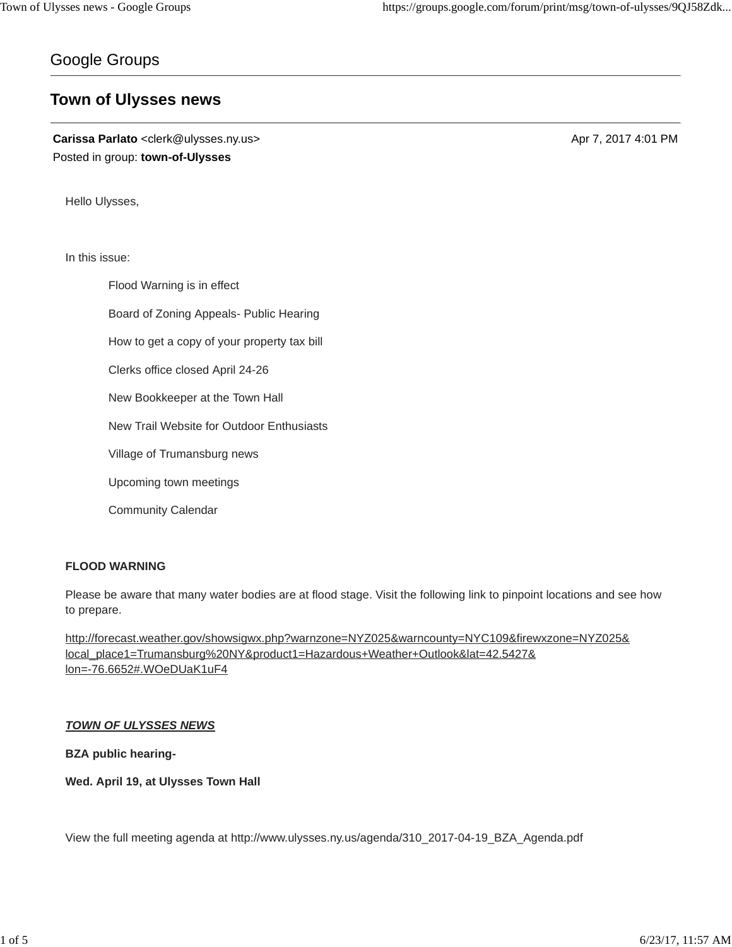# Google Groups

# **Town of Ulysses news**

**Carissa Parlato** <clerk@ulysses.ny.us> Apr 7, 2017 4:01 PM Posted in group: **town-of-Ulysses**

Hello Ulysses,

In this issue:

Flood Warning is in effect Board of Zoning Appeals- Public Hearing How to get a copy of your property tax bill Clerks office closed April 24-26 New Bookkeeper at the Town Hall New Trail Website for Outdoor Enthusiasts Village of Trumansburg news Upcoming town meetings Community Calendar

# **FLOOD WARNING**

Please be aware that many water bodies are at flood stage. Visit the following link to pinpoint locations and see how to prepare.

http://forecast.weather.gov/showsigwx.php?warnzone=NYZ025&warncounty=NYC109&firewxzone=NYZ025& local\_place1=Trumansburg%20NY&product1=Hazardous+Weather+Outlook&lat=42.5427& lon=-76.6652#.WOeDUaK1uF4

# *TOWN OF ULYSSES NEWS*

**BZA public hearing-**

**Wed. April 19, at Ulysses Town Hall**

View the full meeting agenda at http://www.ulysses.ny.us/agenda/310\_2017-04-19\_BZA\_Agenda.pdf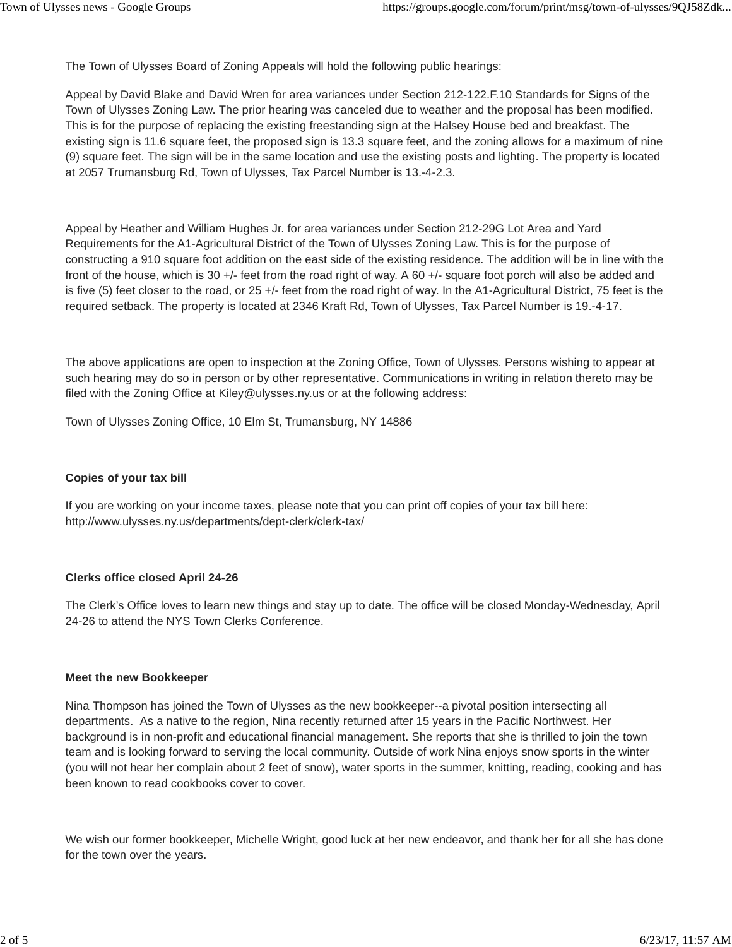The Town of Ulysses Board of Zoning Appeals will hold the following public hearings:

Appeal by David Blake and David Wren for area variances under Section 212-122.F.10 Standards for Signs of the Town of Ulysses Zoning Law. The prior hearing was canceled due to weather and the proposal has been modified. This is for the purpose of replacing the existing freestanding sign at the Halsey House bed and breakfast. The existing sign is 11.6 square feet, the proposed sign is 13.3 square feet, and the zoning allows for a maximum of nine (9) square feet. The sign will be in the same location and use the existing posts and lighting. The property is located at 2057 Trumansburg Rd, Town of Ulysses, Tax Parcel Number is 13.-4-2.3.

Appeal by Heather and William Hughes Jr. for area variances under Section 212-29G Lot Area and Yard Requirements for the A1-Agricultural District of the Town of Ulysses Zoning Law. This is for the purpose of constructing a 910 square foot addition on the east side of the existing residence. The addition will be in line with the front of the house, which is 30 +/- feet from the road right of way. A 60 +/- square foot porch will also be added and is five (5) feet closer to the road, or 25 +/- feet from the road right of way. In the A1-Agricultural District, 75 feet is the required setback. The property is located at 2346 Kraft Rd, Town of Ulysses, Tax Parcel Number is 19.-4-17.

The above applications are open to inspection at the Zoning Office, Town of Ulysses. Persons wishing to appear at such hearing may do so in person or by other representative. Communications in writing in relation thereto may be filed with the Zoning Office at Kiley@ulysses.ny.us or at the following address:

Town of Ulysses Zoning Office, 10 Elm St, Trumansburg, NY 14886

## **Copies of your tax bill**

If you are working on your income taxes, please note that you can print off copies of your tax bill here: http://www.ulysses.ny.us/departments/dept-clerk/clerk-tax/

## **Clerks office closed April 24-26**

The Clerk's Office loves to learn new things and stay up to date. The office will be closed Monday-Wednesday, April 24-26 to attend the NYS Town Clerks Conference.

## **Meet the new Bookkeeper**

Nina Thompson has joined the Town of Ulysses as the new bookkeeper--a pivotal position intersecting all departments. As a native to the region, Nina recently returned after 15 years in the Pacific Northwest. Her background is in non-profit and educational financial management. She reports that she is thrilled to join the town team and is looking forward to serving the local community. Outside of work Nina enjoys snow sports in the winter (you will not hear her complain about 2 feet of snow), water sports in the summer, knitting, reading, cooking and has been known to read cookbooks cover to cover.

We wish our former bookkeeper, Michelle Wright, good luck at her new endeavor, and thank her for all she has done for the town over the years.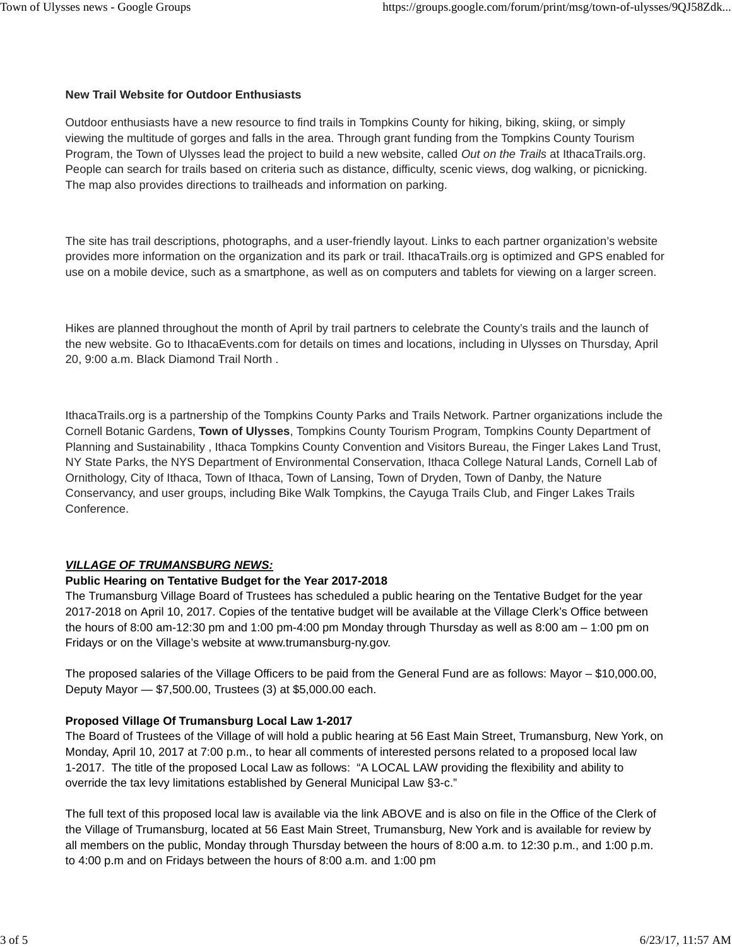## **New Trail Website for Outdoor Enthusiasts**

Outdoor enthusiasts have a new resource to find trails in Tompkins County for hiking, biking, skiing, or simply viewing the multitude of gorges and falls in the area. Through grant funding from the Tompkins County Tourism Program, the Town of Ulysses lead the project to build a new website, called *Out on the Trails* at IthacaTrails.org. People can search for trails based on criteria such as distance, difficulty, scenic views, dog walking, or picnicking. The map also provides directions to trailheads and information on parking.

The site has trail descriptions, photographs, and a user-friendly layout. Links to each partner organization's website provides more information on the organization and its park or trail. IthacaTrails.org is optimized and GPS enabled for use on a mobile device, such as a smartphone, as well as on computers and tablets for viewing on a larger screen.

Hikes are planned throughout the month of April by trail partners to celebrate the County's trails and the launch of the new website. Go to IthacaEvents.com for details on times and locations, including in Ulysses on Thursday, April 20, 9:00 a.m. Black Diamond Trail North .

IthacaTrails.org is a partnership of the Tompkins County Parks and Trails Network. Partner organizations include the Cornell Botanic Gardens, **Town of Ulysses**, Tompkins County Tourism Program, Tompkins County Department of Planning and Sustainability , Ithaca Tompkins County Convention and Visitors Bureau, the Finger Lakes Land Trust, NY State Parks, the NYS Department of Environmental Conservation, Ithaca College Natural Lands, Cornell Lab of Ornithology, City of Ithaca, Town of Ithaca, Town of Lansing, Town of Dryden, Town of Danby, the Nature Conservancy, and user groups, including Bike Walk Tompkins, the Cayuga Trails Club, and Finger Lakes Trails Conference.

# *VILLAGE OF TRUMANSBURG NEWS:*

## **Public Hearing on Tentative Budget for the Year 2017-2018**

The Trumansburg Village Board of Trustees has scheduled a public hearing on the Tentative Budget for the year 2017-2018 on April 10, 2017. Copies of the tentative budget will be available at the Village Clerk's Office between the hours of 8:00 am-12:30 pm and 1:00 pm-4:00 pm Monday through Thursday as well as 8:00 am – 1:00 pm on Fridays or on the Village's website at www.trumansburg-ny.gov.

The proposed salaries of the Village Officers to be paid from the General Fund are as follows: Mayor – \$10,000.00, Deputy Mayor — \$7,500.00, Trustees (3) at \$5,000.00 each.

## **Proposed Village Of Trumansburg Local Law 1-2017**

The Board of Trustees of the Village of will hold a public hearing at 56 East Main Street, Trumansburg, New York, on Monday, April 10, 2017 at 7:00 p.m., to hear all comments of interested persons related to a proposed local law 1-2017. The title of the proposed Local Law as follows: "A LOCAL LAW providing the flexibility and ability to override the tax levy limitations established by General Municipal Law §3-c."

The full text of this proposed local law is available via the link ABOVE and is also on file in the Office of the Clerk of the Village of Trumansburg, located at 56 East Main Street, Trumansburg, New York and is available for review by all members on the public, Monday through Thursday between the hours of 8:00 a.m. to 12:30 p.m., and 1:00 p.m. to 4:00 p.m and on Fridays between the hours of 8:00 a.m. and 1:00 pm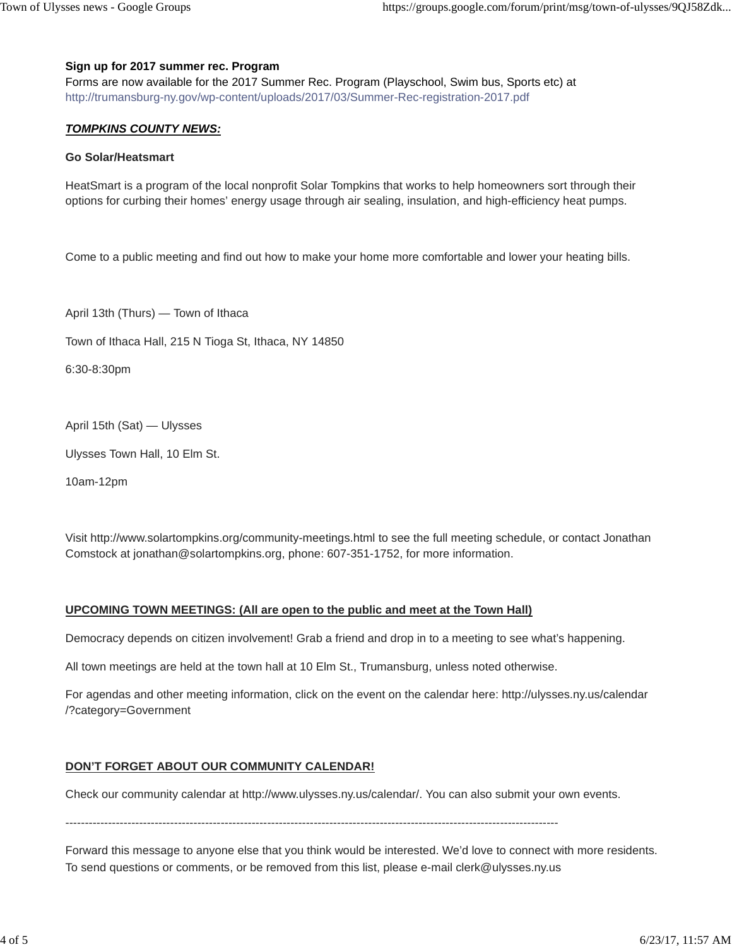## **Sign up for 2017 summer rec. Program**

Forms are now available for the 2017 Summer Rec. Program (Playschool, Swim bus, Sports etc) at http://trumansburg-ny.gov/wp-content/uploads/2017/03/Summer-Rec-registration-2017.pdf

## *TOMPKINS COUNTY NEWS:*

#### **Go Solar/Heatsmart**

HeatSmart is a program of the local nonprofit Solar Tompkins that works to help homeowners sort through their options for curbing their homes' energy usage through air sealing, insulation, and high-efficiency heat pumps.

Come to a public meeting and find out how to make your home more comfortable and lower your heating bills.

April 13th (Thurs) — Town of Ithaca

Town of Ithaca Hall, 215 N Tioga St, Ithaca, NY 14850

6:30-8:30pm

April 15th (Sat) — Ulysses

Ulysses Town Hall, 10 Elm St.

10am-12pm

Visit http://www.solartompkins.org/community-meetings.html to see the full meeting schedule, or contact Jonathan Comstock at jonathan@solartompkins.org, phone: 607-351-1752, for more information.

## **UPCOMING TOWN MEETINGS: (All are open to the public and meet at the Town Hall)**

Democracy depends on citizen involvement! Grab a friend and drop in to a meeting to see what's happening.

All town meetings are held at the town hall at 10 Elm St., Trumansburg, unless noted otherwise.

For agendas and other meeting information, click on the event on the calendar here: http://ulysses.ny.us/calendar /?category=Government

## **DON'T FORGET ABOUT OUR COMMUNITY CALENDAR!**

Check our community calendar at http://www.ulysses.ny.us/calendar/. You can also submit your own events.

-------------------------------------------------------------------------------------------------------------------------------

Forward this message to anyone else that you think would be interested. We'd love to connect with more residents. To send questions or comments, or be removed from this list, please e-mail clerk@ulysses.ny.us